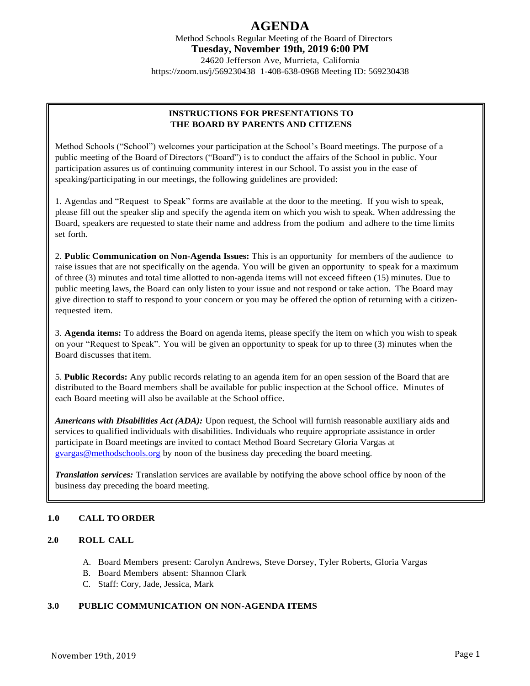# **AGENDA**

Method Schools Regular Meeting of the Board of Directors **Tuesday, November 19th, 2019 6:00 PM** 24620 Jefferson Ave, Murrieta, California https://zoom.us/j/569230438 1-408-638-0968 Meeting ID: 569230438

## **INSTRUCTIONS FOR PRESENTATIONS TO THE BOARD BY PARENTS AND CITIZENS**

Method Schools ("School") welcomes your participation at the School's Board meetings. The purpose of a public meeting of the Board of Directors ("Board") is to conduct the affairs of the School in public. Your participation assures us of continuing community interest in our School. To assist you in the ease of speaking/participating in our meetings, the following guidelines are provided:

1. Agendas and "Request to Speak" forms are available at the door to the meeting. If you wish to speak, please fill out the speaker slip and specify the agenda item on which you wish to speak. When addressing the Board, speakers are requested to state their name and address from the podium and adhere to the time limits set forth.

2. **Public Communication on Non-Agenda Issues:** This is an opportunity for members of the audience to raise issues that are not specifically on the agenda. You will be given an opportunity to speak for a maximum of three (3) minutes and total time allotted to non-agenda items will not exceed fifteen (15) minutes. Due to public meeting laws, the Board can only listen to your issue and not respond or take action. The Board may give direction to staff to respond to your concern or you may be offered the option of returning with a citizenrequested item.

3. **Agenda items:** To address the Board on agenda items, please specify the item on which you wish to speak on your "Request to Speak". You will be given an opportunity to speak for up to three (3) minutes when the Board discusses that item.

5. **Public Records:** Any public records relating to an agenda item for an open session of the Board that are distributed to the Board members shall be available for public inspection at the School office. Minutes of each Board meeting will also be available at the School office.

*Americans with Disabilities Act (ADA):* Upon request, the School will furnish reasonable auxiliary aids and services to qualified individuals with disabilities. Individuals who require appropriate assistance in order participate in Board meetings are invited to contact Method Board Secretary Gloria Vargas at [gvargas@methodschools.org](mailto:gvargas@methodschools.org) by noon of the business day preceding the board meeting.

*Translation services:* Translation services are available by notifying the above school office by noon of the business day preceding the board meeting.

# **1.0 CALL TO ORDER**

#### **2.0 ROLL CALL**

- A. Board Members present: Carolyn Andrews, Steve Dorsey, Tyler Roberts, Gloria Vargas
- B. Board Members absent: Shannon Clark
- C. Staff: Cory, Jade, Jessica, Mark

#### **3.0 PUBLIC COMMUNICATION ON NON-AGENDA ITEMS**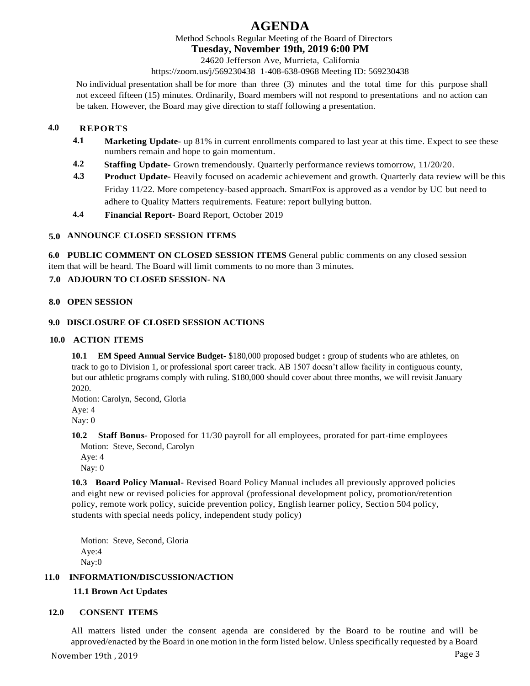# **AGENDA**

Method Schools Regular Meeting of the Board of Directors

#### **Tuesday, November 19th, 2019 6:00 PM**

24620 Jefferson Ave, Murrieta, California

https://zoom.us/j/569230438 1-408-638-0968 Meeting ID: 569230438

No individual presentation shall be for more than three (3) minutes and the total time for this purpose shall not exceed fifteen (15) minutes. Ordinarily, Board members will not respond to presentations and no action can be taken. However, the Board may give direction to staff following a presentation.

# **4.0 REPORTS**

- **4.1 Marketing Update-** up 81% in current enrollments compared to last year at this time. Expect to see these numbers remain and hope to gain momentum.
- **4.2 Staffing Update-** Grown tremendously. Quarterly performance reviews tomorrow, 11/20/20.
- **4.3 Product Update-** Heavily focused on academic achievement and growth. Quarterly data review will be this Friday 11/22. More competency-based approach. SmartFox is approved as a vendor by UC but need to adhere to Quality Matters requirements. Feature: report bullying button.
- **4.4 Financial Report-** Board Report, October 2019

### **5.0 ANNOUNCE CLOSED SESSION ITEMS**

**6.0 PUBLIC COMMENT ON CLOSED SESSION ITEMS** General public comments on any closed session item that will be heard. The Board will limit comments to no more than 3 minutes.

### **7.0 ADJOURN TO CLOSED SESSION- NA**

#### **8.0 OPEN SESSION**

#### **9.0 DISCLOSURE OF CLOSED SESSION ACTIONS**

#### **10.0 ACTION ITEMS**

**10.1 EM Speed Annual Service Budget-** \$180,000 proposed budget **:** group of students who are athletes, on track to go to Division 1, or professional sport career track. AB 1507 doesn't allow facility in contiguous county, but our athletic programs comply with ruling. \$180,000 should cover about three months, we will revisit January 2020.

Motion: Carolyn, Second, Gloria Aye: 4 Nay: 0

**10.2 Staff Bonus-** Proposed for 11/30 payroll for all employees, prorated for part-time employees Motion: Steve, Second, Carolyn

Aye: 4 Nay: 0

**10.3 Board Policy Manual-** Revised Board Policy Manual includes all previously approved policies and eight new or revised policies for approval (professional development policy, promotion/retention policy, remote work policy, suicide prevention policy, English learner policy, Section 504 policy, students with special needs policy, independent study policy)

Motion: Steve, Second, Gloria Aye:4 Nay:0

## **11.0 INFORMATION/DISCUSSION/ACTION**

# **11.1 Brown Act Updates**

#### **12.0 CONSENT ITEMS**

All matters listed under the consent agenda are considered by the Board to be routine and will be approved/enacted by the Board in one motion in the form listed below. Unless specifically requested by a Board